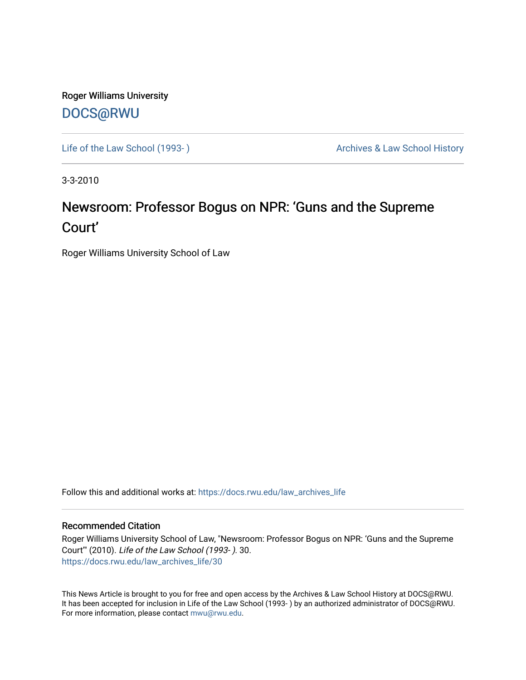Roger Williams University [DOCS@RWU](https://docs.rwu.edu/)

Life of the Law School (1993-) **Archives & Law School History** Archives & Law School History

3-3-2010

## Newsroom: Professor Bogus on NPR: 'Guns and the Supreme Court'

Roger Williams University School of Law

Follow this and additional works at: [https://docs.rwu.edu/law\\_archives\\_life](https://docs.rwu.edu/law_archives_life?utm_source=docs.rwu.edu%2Flaw_archives_life%2F30&utm_medium=PDF&utm_campaign=PDFCoverPages)

### Recommended Citation

Roger Williams University School of Law, "Newsroom: Professor Bogus on NPR: 'Guns and the Supreme Court'" (2010). Life of the Law School (1993- ). 30. [https://docs.rwu.edu/law\\_archives\\_life/30](https://docs.rwu.edu/law_archives_life/30?utm_source=docs.rwu.edu%2Flaw_archives_life%2F30&utm_medium=PDF&utm_campaign=PDFCoverPages) 

This News Article is brought to you for free and open access by the Archives & Law School History at DOCS@RWU. It has been accepted for inclusion in Life of the Law School (1993- ) by an authorized administrator of DOCS@RWU. For more information, please contact [mwu@rwu.edu](mailto:mwu@rwu.edu).